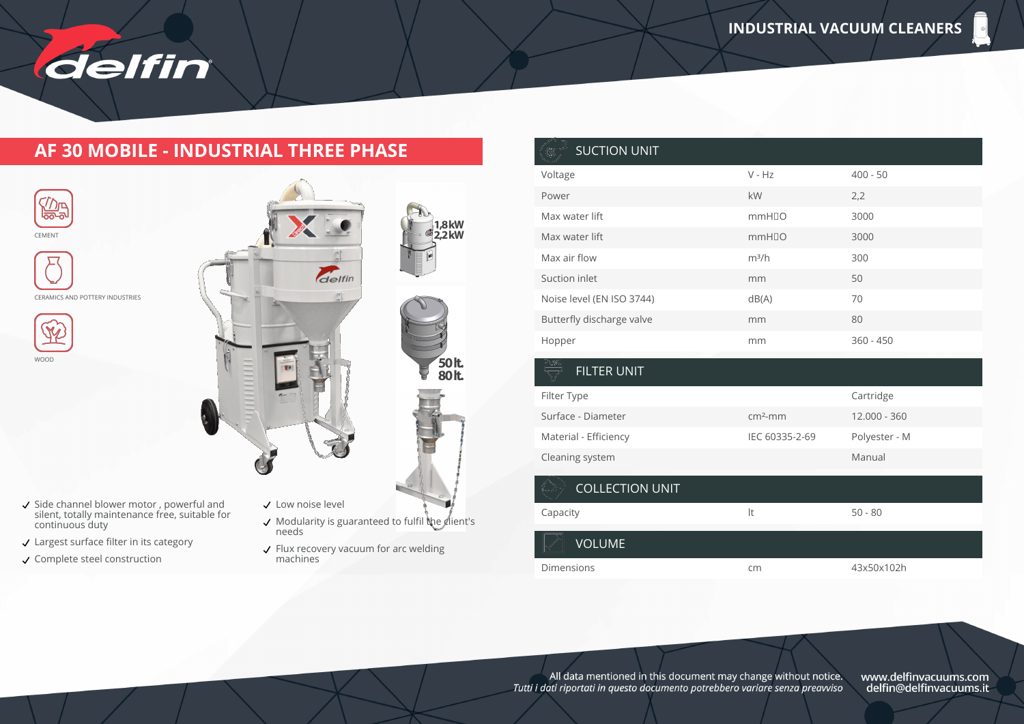

#### **AF 30 MOBILE - INDUSTRIAL THREE PHASE**



- Side channel blower motor , powerful and silent, totally maintenance free, suitable for continuous duty
- Largest surface filter in its category
- Complete steel construction

CEMENT

ℒⅅ℡ ಿಹಾ

WOOD

- $\checkmark$  Modularity is guaranteed to fulfil the client's needs
- Flux recovery vacuum for arc welding machines

| <b>SUCTION UNIT</b>       |                   |             |
|---------------------------|-------------------|-------------|
| Voltage                   | $V - Hz$          | $400 - 50$  |
| Power                     | kW                | 2,2         |
| Max water lift            | mmH <sub>IO</sub> | 3000        |
| Max water lift            | mmH <sub>IO</sub> | 3000        |
| Max air flow              | $m^3/h$           | 300         |
| Suction inlet             | mm                | 50          |
| Noise level (EN ISO 3744) | dB(A)             | 70          |
| Butterfly discharge valve | mm                | 80          |
| Hopper                    | mm                | $360 - 450$ |
|                           |                   |             |
| <b>FILTER UNIT</b>        |                   |             |

| FILIER UNIT            |                |               |
|------------------------|----------------|---------------|
| Filter Type            |                | Cartridge     |
| Surface - Diameter     | $cm2$ -mm      | 12.000 - 360  |
| Material - Efficiency  | IEC 60335-2-69 | Polyester - M |
| Cleaning system        |                | Manual        |
| <b>COLLECTION UNIT</b> |                |               |
| Capacity               | It             | $50 - 80$     |
| <b>VOLUME</b>          |                |               |
| <b>Dimensions</b>      | cm             | 43x50x102h    |

All data mentioned in this document may change without notice.<br>Tutti i dati riportati in questo documento potrebbero variare senza preavviso

www.delfinvacuums.com<br>delfin@delfinvacuums.it